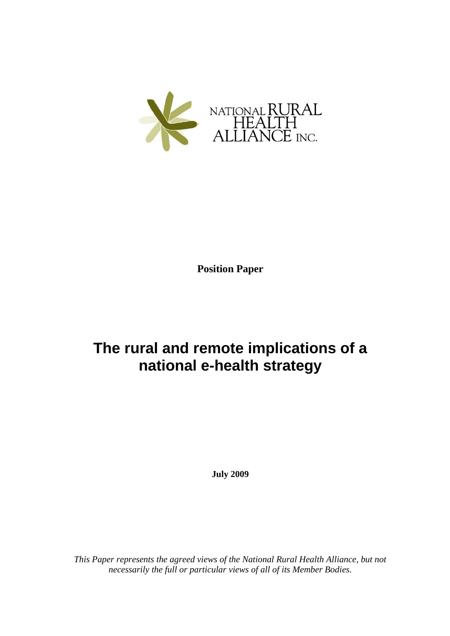

**Position Paper**

# **The rural and remote implications of a national e-health strategy**

**July 2009**

*This Paper represents the agreed views of the National Rural Health Alliance, but not necessarily the full or particular views of all of its Member Bodies.*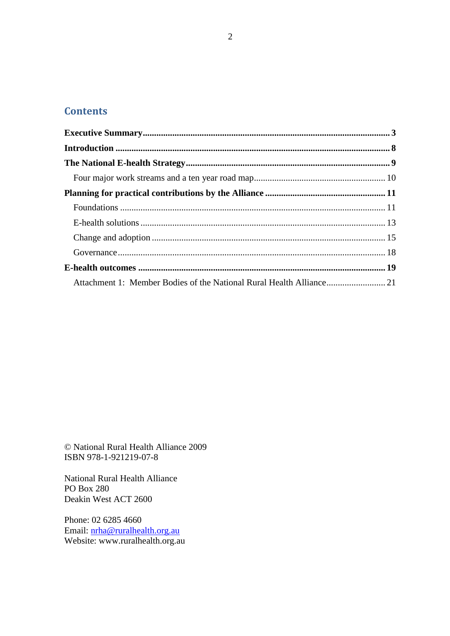# **Contents**

| Attachment 1: Member Bodies of the National Rural Health Alliance 21 |  |
|----------------------------------------------------------------------|--|

© National Rural Health Alliance 2009 ISBN 978-1-921219-07-8

National Rural Health Alliance PO Box 280 Deakin West ACT 2600

Phone: 02 6285 4660 Email: [nrha@ruralhealth.org.au](mailto:nrha@ruralhealth.org.au) Website: www.ruralhealth.org.au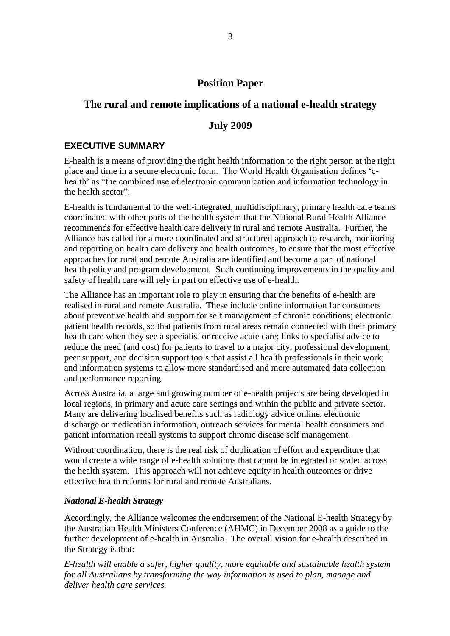### **Position Paper**

## **The rural and remote implications of a national e-health strategy**

#### **July 2009**

#### <span id="page-2-0"></span>**EXECUTIVE SUMMARY**

E-health is a means of providing the right health information to the right person at the right place and time in a secure electronic form. The World Health Organisation defines "ehealth' as "the combined use of electronic communication and information technology in the health sector".

E-health is fundamental to the well-integrated, multidisciplinary, primary health care teams coordinated with other parts of the health system that the National Rural Health Alliance recommends for effective health care delivery in rural and remote Australia. Further, the Alliance has called for a more coordinated and structured approach to research, monitoring and reporting on health care delivery and health outcomes, to ensure that the most effective approaches for rural and remote Australia are identified and become a part of national health policy and program development. Such continuing improvements in the quality and safety of health care will rely in part on effective use of e-health.

The Alliance has an important role to play in ensuring that the benefits of e-health are realised in rural and remote Australia. These include online information for consumers about preventive health and support for self management of chronic conditions; electronic patient health records, so that patients from rural areas remain connected with their primary health care when they see a specialist or receive acute care; links to specialist advice to reduce the need (and cost) for patients to travel to a major city; professional development, peer support, and decision support tools that assist all health professionals in their work; and information systems to allow more standardised and more automated data collection and performance reporting.

Across Australia, a large and growing number of e-health projects are being developed in local regions, in primary and acute care settings and within the public and private sector. Many are delivering localised benefits such as radiology advice online, electronic discharge or medication information, outreach services for mental health consumers and patient information recall systems to support chronic disease self management.

Without coordination, there is the real risk of duplication of effort and expenditure that would create a wide range of e-health solutions that cannot be integrated or scaled across the health system. This approach will not achieve equity in health outcomes or drive effective health reforms for rural and remote Australians.

#### *National E-health Strategy*

Accordingly, the Alliance welcomes the endorsement of the National E-health Strategy by the Australian Health Ministers Conference (AHMC) in December 2008 as a guide to the further development of e-health in Australia. The overall vision for e-health described in the Strategy is that:

*E-health will enable a safer, higher quality, more equitable and sustainable health system for all Australians by transforming the way information is used to plan, manage and deliver health care services.*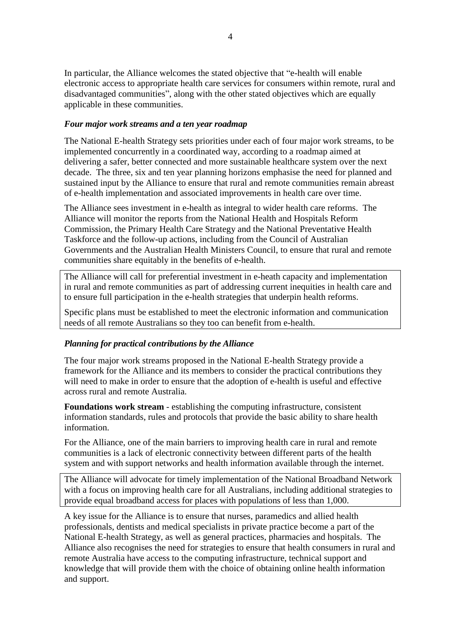In particular, the Alliance welcomes the stated objective that "e-health will enable electronic access to appropriate health care services for consumers within remote, rural and disadvantaged communities", along with the other stated objectives which are equally applicable in these communities.

#### *Four major work streams and a ten year roadmap*

The National E-health Strategy sets priorities under each of four major work streams, to be implemented concurrently in a coordinated way, according to a roadmap aimed at delivering a safer, better connected and more sustainable healthcare system over the next decade. The three, six and ten year planning horizons emphasise the need for planned and sustained input by the Alliance to ensure that rural and remote communities remain abreast of e-health implementation and associated improvements in health care over time.

The Alliance sees investment in e-health as integral to wider health care reforms. The Alliance will monitor the reports from the National Health and Hospitals Reform Commission, the Primary Health Care Strategy and the National Preventative Health Taskforce and the follow-up actions, including from the Council of Australian Governments and the Australian Health Ministers Council, to ensure that rural and remote communities share equitably in the benefits of e-health.

The Alliance will call for preferential investment in e-heath capacity and implementation in rural and remote communities as part of addressing current inequities in health care and to ensure full participation in the e-health strategies that underpin health reforms.

Specific plans must be established to meet the electronic information and communication needs of all remote Australians so they too can benefit from e-health.

#### *Planning for practical contributions by the Alliance*

The four major work streams proposed in the National E-health Strategy provide a framework for the Alliance and its members to consider the practical contributions they will need to make in order to ensure that the adoption of e-health is useful and effective across rural and remote Australia.

**Foundations work stream** - establishing the computing infrastructure, consistent information standards, rules and protocols that provide the basic ability to share health information.

For the Alliance, one of the main barriers to improving health care in rural and remote communities is a lack of electronic connectivity between different parts of the health system and with support networks and health information available through the internet.

The Alliance will advocate for timely implementation of the National Broadband Network with a focus on improving health care for all Australians, including additional strategies to provide equal broadband access for places with populations of less than 1,000.

A key issue for the Alliance is to ensure that nurses, paramedics and allied health professionals, dentists and medical specialists in private practice become a part of the National E-health Strategy, as well as general practices, pharmacies and hospitals. The Alliance also recognises the need for strategies to ensure that health consumers in rural and remote Australia have access to the computing infrastructure, technical support and knowledge that will provide them with the choice of obtaining online health information and support.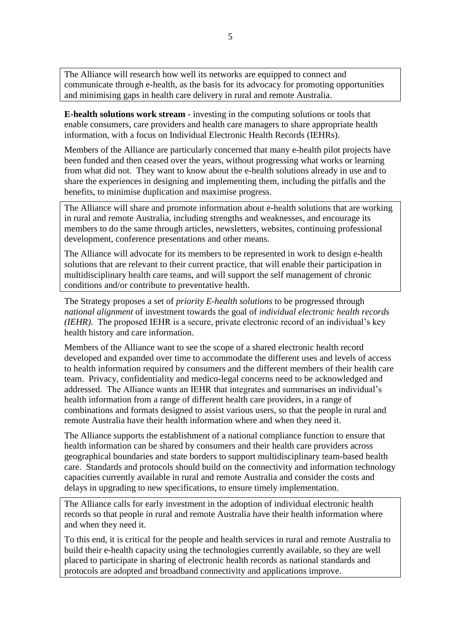The Alliance will research how well its networks are equipped to connect and communicate through e-health, as the basis for its advocacy for promoting opportunities and minimising gaps in health care delivery in rural and remote Australia.

**E-health solutions work stream** - investing in the computing solutions or tools that enable consumers, care providers and health care managers to share appropriate health information, with a focus on Individual Electronic Health Records (IEHRs).

Members of the Alliance are particularly concerned that many e-health pilot projects have been funded and then ceased over the years, without progressing what works or learning from what did not. They want to know about the e-health solutions already in use and to share the experiences in designing and implementing them, including the pitfalls and the benefits, to minimise duplication and maximise progress.

The Alliance will share and promote information about e-health solutions that are working in rural and remote Australia, including strengths and weaknesses, and encourage its members to do the same through articles, newsletters, websites, continuing professional development, conference presentations and other means.

The Alliance will advocate for its members to be represented in work to design e-health solutions that are relevant to their current practice, that will enable their participation in multidisciplinary health care teams, and will support the self management of chronic conditions and/or contribute to preventative health.

The Strategy proposes a set of *priority E-health solutions* to be progressed through *national alignment* of investment towards the goal of *individual electronic health records (IEHR)*. The proposed IEHR is a secure, private electronic record of an individual"s key health history and care information.

Members of the Alliance want to see the scope of a shared electronic health record developed and expanded over time to accommodate the different uses and levels of access to health information required by consumers and the different members of their health care team. Privacy, confidentiality and medico-legal concerns need to be acknowledged and addressed. The Alliance wants an IEHR that integrates and summarises an individual"s health information from a range of different health care providers, in a range of combinations and formats designed to assist various users, so that the people in rural and remote Australia have their health information where and when they need it.

The Alliance supports the establishment of a national compliance function to ensure that health information can be shared by consumers and their health care providers across geographical boundaries and state borders to support multidisciplinary team-based health care. Standards and protocols should build on the connectivity and information technology capacities currently available in rural and remote Australia and consider the costs and delays in upgrading to new specifications, to ensure timely implementation.

The Alliance calls for early investment in the adoption of individual electronic health records so that people in rural and remote Australia have their health information where and when they need it.

To this end, it is critical for the people and health services in rural and remote Australia to build their e-health capacity using the technologies currently available, so they are well placed to participate in sharing of electronic health records as national standards and protocols are adopted and broadband connectivity and applications improve.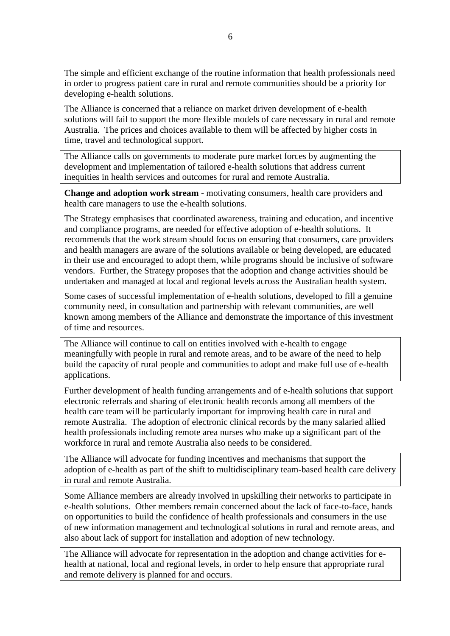The simple and efficient exchange of the routine information that health professionals need in order to progress patient care in rural and remote communities should be a priority for developing e-health solutions.

The Alliance is concerned that a reliance on market driven development of e-health solutions will fail to support the more flexible models of care necessary in rural and remote Australia. The prices and choices available to them will be affected by higher costs in time, travel and technological support.

The Alliance calls on governments to moderate pure market forces by augmenting the development and implementation of tailored e-health solutions that address current inequities in health services and outcomes for rural and remote Australia.

**Change and adoption work stream** - motivating consumers, health care providers and health care managers to use the e-health solutions.

The Strategy emphasises that coordinated awareness, training and education, and incentive and compliance programs, are needed for effective adoption of e-health solutions. It recommends that the work stream should focus on ensuring that consumers, care providers and health managers are aware of the solutions available or being developed, are educated in their use and encouraged to adopt them, while programs should be inclusive of software vendors. Further, the Strategy proposes that the adoption and change activities should be undertaken and managed at local and regional levels across the Australian health system.

Some cases of successful implementation of e-health solutions, developed to fill a genuine community need, in consultation and partnership with relevant communities, are well known among members of the Alliance and demonstrate the importance of this investment of time and resources.

The Alliance will continue to call on entities involved with e-health to engage meaningfully with people in rural and remote areas, and to be aware of the need to help build the capacity of rural people and communities to adopt and make full use of e-health applications.

Further development of health funding arrangements and of e-health solutions that support electronic referrals and sharing of electronic health records among all members of the health care team will be particularly important for improving health care in rural and remote Australia. The adoption of electronic clinical records by the many salaried allied health professionals including remote area nurses who make up a significant part of the workforce in rural and remote Australia also needs to be considered.

The Alliance will advocate for funding incentives and mechanisms that support the adoption of e-health as part of the shift to multidisciplinary team-based health care delivery in rural and remote Australia.

Some Alliance members are already involved in upskilling their networks to participate in e-health solutions. Other members remain concerned about the lack of face-to-face, hands on opportunities to build the confidence of health professionals and consumers in the use of new information management and technological solutions in rural and remote areas, and also about lack of support for installation and adoption of new technology.

The Alliance will advocate for representation in the adoption and change activities for ehealth at national, local and regional levels, in order to help ensure that appropriate rural and remote delivery is planned for and occurs.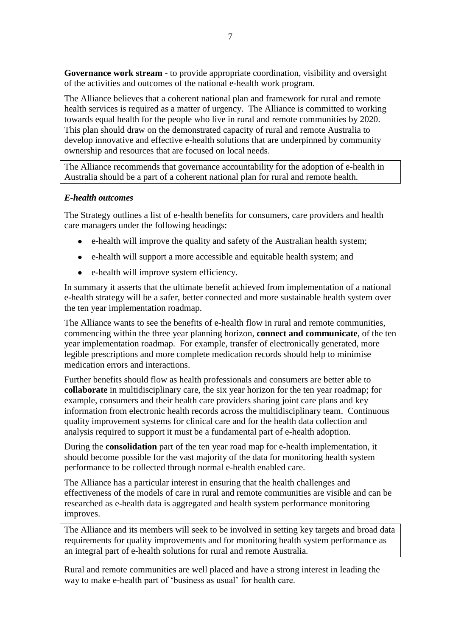**Governance work stream** - to provide appropriate coordination, visibility and oversight of the activities and outcomes of the national e-health work program.

The Alliance believes that a coherent national plan and framework for rural and remote health services is required as a matter of urgency. The Alliance is committed to working towards equal health for the people who live in rural and remote communities by 2020. This plan should draw on the demonstrated capacity of rural and remote Australia to develop innovative and effective e-health solutions that are underpinned by community ownership and resources that are focused on local needs.

The Alliance recommends that governance accountability for the adoption of e-health in Australia should be a part of a coherent national plan for rural and remote health.

#### *E-health outcomes*

The Strategy outlines a list of e-health benefits for consumers, care providers and health care managers under the following headings:

- e-health will improve the quality and safety of the Australian health system;
- e-health will support a more accessible and equitable health system; and
- e-health will improve system efficiency.

In summary it asserts that the ultimate benefit achieved from implementation of a national e-health strategy will be a safer, better connected and more sustainable health system over the ten year implementation roadmap.

The Alliance wants to see the benefits of e-health flow in rural and remote communities, commencing within the three year planning horizon, **connect and communicate**, of the ten year implementation roadmap. For example, transfer of electronically generated, more legible prescriptions and more complete medication records should help to minimise medication errors and interactions.

Further benefits should flow as health professionals and consumers are better able to **collaborate** in multidisciplinary care, the six year horizon for the ten year roadmap; for example, consumers and their health care providers sharing joint care plans and key information from electronic health records across the multidisciplinary team. Continuous quality improvement systems for clinical care and for the health data collection and analysis required to support it must be a fundamental part of e-health adoption.

During the **consolidation** part of the ten year road map for e-health implementation, it should become possible for the vast majority of the data for monitoring health system performance to be collected through normal e-health enabled care.

The Alliance has a particular interest in ensuring that the health challenges and effectiveness of the models of care in rural and remote communities are visible and can be researched as e-health data is aggregated and health system performance monitoring improves.

The Alliance and its members will seek to be involved in setting key targets and broad data requirements for quality improvements and for monitoring health system performance as an integral part of e-health solutions for rural and remote Australia.

Rural and remote communities are well placed and have a strong interest in leading the way to make e-health part of "business as usual" for health care.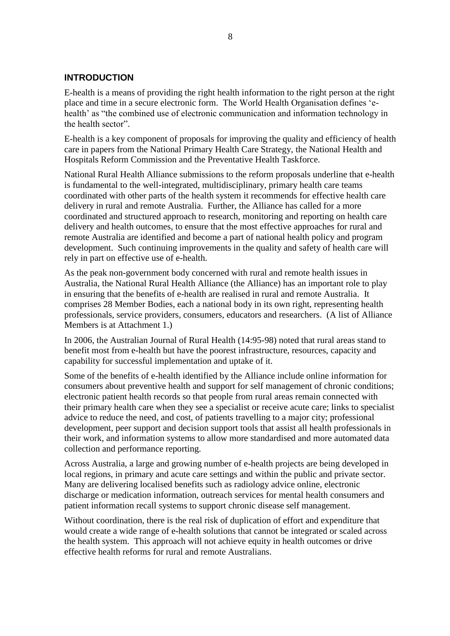#### <span id="page-7-0"></span>**INTRODUCTION**

E-health is a means of providing the right health information to the right person at the right place and time in a secure electronic form. The World Health Organisation defines "ehealth' as "the combined use of electronic communication and information technology in the health sector".

E-health is a key component of proposals for improving the quality and efficiency of health care in papers from the National Primary Health Care Strategy, the National Health and Hospitals Reform Commission and the Preventative Health Taskforce.

National Rural Health Alliance submissions to the reform proposals underline that e-health is fundamental to the well-integrated, multidisciplinary, primary health care teams coordinated with other parts of the health system it recommends for effective health care delivery in rural and remote Australia. Further, the Alliance has called for a more coordinated and structured approach to research, monitoring and reporting on health care delivery and health outcomes, to ensure that the most effective approaches for rural and remote Australia are identified and become a part of national health policy and program development. Such continuing improvements in the quality and safety of health care will rely in part on effective use of e-health.

As the peak non-government body concerned with rural and remote health issues in Australia, the National Rural Health Alliance (the Alliance) has an important role to play in ensuring that the benefits of e-health are realised in rural and remote Australia. It comprises 28 Member Bodies, each a national body in its own right, representing health professionals, service providers, consumers, educators and researchers. (A list of Alliance Members is at Attachment 1.)

In 2006, the Australian Journal of Rural Health (14:95-98) noted that rural areas stand to benefit most from e-health but have the poorest infrastructure, resources, capacity and capability for successful implementation and uptake of it.

Some of the benefits of e-health identified by the Alliance include online information for consumers about preventive health and support for self management of chronic conditions; electronic patient health records so that people from rural areas remain connected with their primary health care when they see a specialist or receive acute care; links to specialist advice to reduce the need, and cost, of patients travelling to a major city; professional development, peer support and decision support tools that assist all health professionals in their work, and information systems to allow more standardised and more automated data collection and performance reporting.

Across Australia, a large and growing number of e-health projects are being developed in local regions, in primary and acute care settings and within the public and private sector. Many are delivering localised benefits such as radiology advice online, electronic discharge or medication information, outreach services for mental health consumers and patient information recall systems to support chronic disease self management.

Without coordination, there is the real risk of duplication of effort and expenditure that would create a wide range of e-health solutions that cannot be integrated or scaled across the health system. This approach will not achieve equity in health outcomes or drive effective health reforms for rural and remote Australians.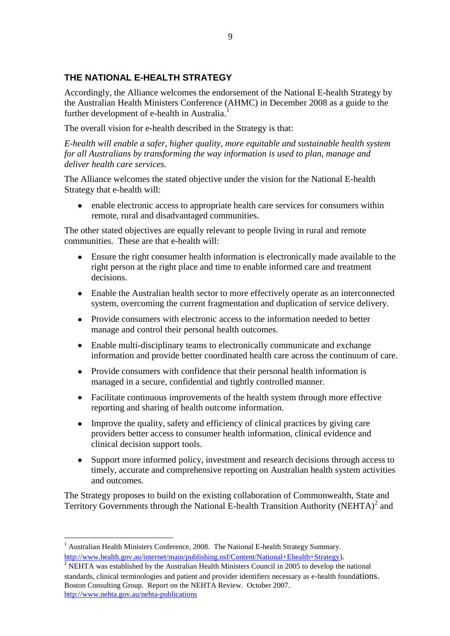## <span id="page-8-0"></span>**THE NATIONAL E-HEALTH STRATEGY**

Accordingly, the Alliance welcomes the endorsement of the National E-health Strategy by the Australian Health Ministers Conference (AHMC) in December 2008 as a guide to the further development of e-health in Australia.<sup>1</sup>

The overall vision for e-health described in the Strategy is that:

*E-health will enable a safer, higher quality, more equitable and sustainable health system for all Australians by transforming the way information is used to plan, manage and deliver health care services.* 

The Alliance welcomes the stated objective under the vision for the National E-health Strategy that e-health will:

enable electronic access to appropriate health care services for consumers within remote, rural and disadvantaged communities.

The other stated objectives are equally relevant to people living in rural and remote communities. These are that e-health will:

- Ensure the right consumer health information is electronically made available to the right person at the right place and time to enable informed care and treatment decisions.
- Enable the Australian health sector to more effectively operate as an interconnected system, overcoming the current fragmentation and duplication of service delivery.
- Provide consumers with electronic access to the information needed to better manage and control their personal health outcomes.
- Enable multi-disciplinary teams to electronically communicate and exchange information and provide better coordinated health care across the continuum of care.
- Provide consumers with confidence that their personal health information is managed in a secure, confidential and tightly controlled manner.
- Facilitate continuous improvements of the health system through more effective reporting and sharing of health outcome information.
- Improve the quality, safety and efficiency of clinical practices by giving care providers better access to consumer health information, clinical evidence and clinical decision support tools.
- Support more informed policy, investment and research decisions through access to timely, accurate and comprehensive reporting on Australian health system activities and outcomes.

The Strategy proposes to build on the existing collaboration of Commonwealth, State and Territory Governments through the National E-health Transition Authority (NEHTA) $2$  and

1

<sup>&</sup>lt;sup>1</sup> Australian Health Ministers Conference, 2008. The National E-health Strategy Summary. [http://www.health.gov.au/internet/main/publishing.nsf/Content/National+Ehealth+Strategy\)](http://www.health.gov.au/internet/main/publishing.nsf/Content/National+Ehealth+Strategy).

 $\overline{P}$  NEHTA was established by the Australian Health Ministers Council in 2005 to develop the national standards, clinical terminologies and patient and provider identifiers necessary as e-health foundations. Boston Consulting Group. Report on the NEHTA Review. October 2007. <http://www.nehta.gov.au/nehta-publications>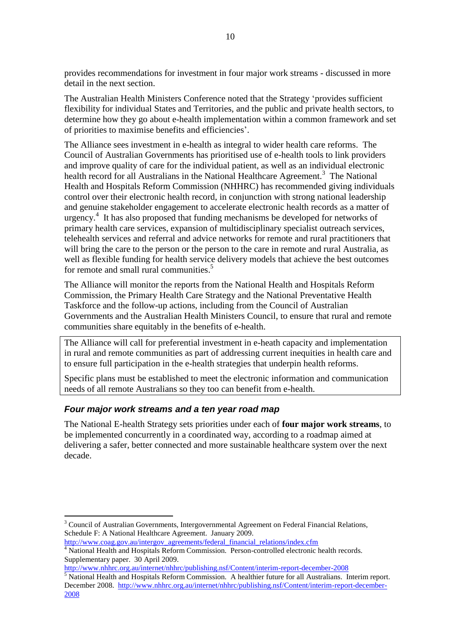provides recommendations for investment in four major work streams - discussed in more detail in the next section.

The Australian Health Ministers Conference noted that the Strategy "provides sufficient flexibility for individual States and Territories, and the public and private health sectors, to determine how they go about e-health implementation within a common framework and set of priorities to maximise benefits and efficiencies".

The Alliance sees investment in e-health as integral to wider health care reforms. The Council of Australian Governments has prioritised use of e-health tools to link providers and improve quality of care for the individual patient, as well as an individual electronic health record for all Australians in the National Healthcare Agreement.<sup>3</sup> The National Health and Hospitals Reform Commission (NHHRC) has recommended giving individuals control over their electronic health record, in conjunction with strong national leadership and genuine stakeholder engagement to accelerate electronic health records as a matter of urgency. 4 It has also proposed that funding mechanisms be developed for networks of primary health care services, expansion of multidisciplinary specialist outreach services, telehealth services and referral and advice networks for remote and rural practitioners that will bring the care to the person or the person to the care in remote and rural Australia, as well as flexible funding for health service delivery models that achieve the best outcomes for remote and small rural communities.<sup>5</sup>

The Alliance will monitor the reports from the National Health and Hospitals Reform Commission, the Primary Health Care Strategy and the National Preventative Health Taskforce and the follow-up actions, including from the Council of Australian Governments and the Australian Health Ministers Council, to ensure that rural and remote communities share equitably in the benefits of e-health.

The Alliance will call for preferential investment in e-heath capacity and implementation in rural and remote communities as part of addressing current inequities in health care and to ensure full participation in the e-health strategies that underpin health reforms.

Specific plans must be established to meet the electronic information and communication needs of all remote Australians so they too can benefit from e-health.

#### <span id="page-9-0"></span>*Four major work streams and a ten year road map*

<u>.</u>

The National E-health Strategy sets priorities under each of **four major work streams**, to be implemented concurrently in a coordinated way, according to a roadmap aimed at delivering a safer, better connected and more sustainable healthcare system over the next decade.

<sup>&</sup>lt;sup>3</sup> Council of Australian Governments, Intergovernmental Agreement on Federal Financial Relations, Schedule F: A National Healthcare Agreement. January 2009. [http://www.coag.gov.au/intergov\\_agreements/federal\\_financial\\_relations/index.cfm](http://www.coag.gov.au/intergov_agreements/federal_financial_relations/index.cfm)

<sup>&</sup>lt;sup>4</sup> National Health and Hospitals Reform Commission. Person-controlled electronic health records. Supplementary paper. 30 April 2009.

<http://www.nhhrc.org.au/internet/nhhrc/publishing.nsf/Content/interim-report-december-2008>

 $\frac{5}{5}$  National Health and Hospitals Reform Commission. A healthier future for all Australians. Interim report. December 2008. [http://www.nhhrc.org.au/internet/nhhrc/publishing.nsf/Content/interim-report-december-](http://www.nhhrc.org.au/internet/nhhrc/publishing.nsf/Content/interim-report-december-2008)[2008](http://www.nhhrc.org.au/internet/nhhrc/publishing.nsf/Content/interim-report-december-2008)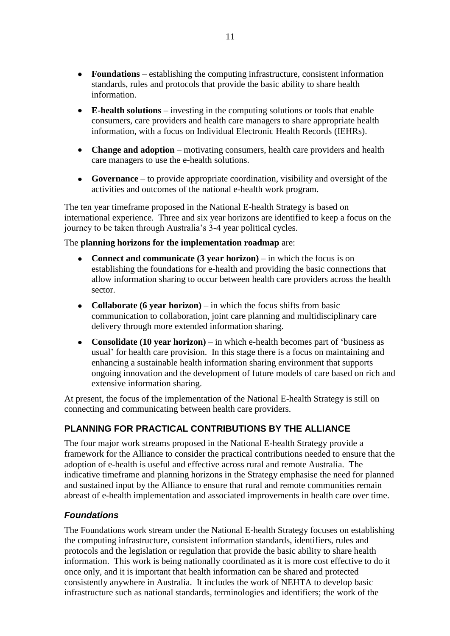- **Foundations** establishing the computing infrastructure, consistent information standards, rules and protocols that provide the basic ability to share health information.
- **E-health solutions** investing in the computing solutions or tools that enable consumers, care providers and health care managers to share appropriate health information, with a focus on Individual Electronic Health Records (IEHRs).
- **Change and adoption** motivating consumers, health care providers and health care managers to use the e-health solutions.
- **Governance** to provide appropriate coordination, visibility and oversight of the activities and outcomes of the national e-health work program.

The ten year timeframe proposed in the National E-health Strategy is based on international experience. Three and six year horizons are identified to keep a focus on the journey to be taken through Australia"s 3-4 year political cycles.

The **planning horizons for the implementation roadmap** are:

- **Connect and communicate (3 year horizon)** in which the focus is on establishing the foundations for e-health and providing the basic connections that allow information sharing to occur between health care providers across the health sector.
- **Collaborate (6 year horizon)** in which the focus shifts from basic communication to collaboration, joint care planning and multidisciplinary care delivery through more extended information sharing.
- **Consolidate (10 year horizon)** in which e-health becomes part of "business as usual" for health care provision. In this stage there is a focus on maintaining and enhancing a sustainable health information sharing environment that supports ongoing innovation and the development of future models of care based on rich and extensive information sharing.

At present, the focus of the implementation of the National E-health Strategy is still on connecting and communicating between health care providers.

## <span id="page-10-0"></span>**PLANNING FOR PRACTICAL CONTRIBUTIONS BY THE ALLIANCE**

The four major work streams proposed in the National E-health Strategy provide a framework for the Alliance to consider the practical contributions needed to ensure that the adoption of e-health is useful and effective across rural and remote Australia. The indicative timeframe and planning horizons in the Strategy emphasise the need for planned and sustained input by the Alliance to ensure that rural and remote communities remain abreast of e-health implementation and associated improvements in health care over time.

## <span id="page-10-1"></span>*Foundations*

The Foundations work stream under the National E-health Strategy focuses on establishing the computing infrastructure, consistent information standards, identifiers, rules and protocols and the legislation or regulation that provide the basic ability to share health information. This work is being nationally coordinated as it is more cost effective to do it once only, and it is important that health information can be shared and protected consistently anywhere in Australia. It includes the work of NEHTA to develop basic infrastructure such as national standards, terminologies and identifiers; the work of the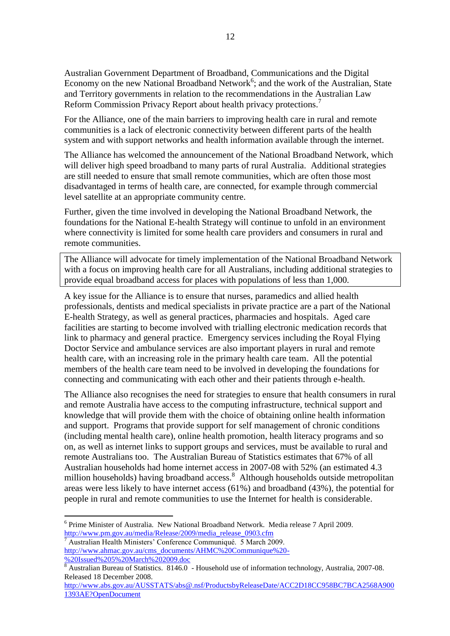Australian Government Department of Broadband, Communications and the Digital Economy on the new National Broadband Network<sup>6</sup>; and the work of the Australian, State and Territory governments in relation to the recommendations in the Australian Law Reform Commission Privacy Report about health privacy protections.<sup>7</sup>

For the Alliance, one of the main barriers to improving health care in rural and remote communities is a lack of electronic connectivity between different parts of the health system and with support networks and health information available through the internet.

The Alliance has welcomed the announcement of the National Broadband Network, which will deliver high speed broadband to many parts of rural Australia. Additional strategies are still needed to ensure that small remote communities, which are often those most disadvantaged in terms of health care, are connected, for example through commercial level satellite at an appropriate community centre.

Further, given the time involved in developing the National Broadband Network, the foundations for the National E-health Strategy will continue to unfold in an environment where connectivity is limited for some health care providers and consumers in rural and remote communities.

The Alliance will advocate for timely implementation of the National Broadband Network with a focus on improving health care for all Australians, including additional strategies to provide equal broadband access for places with populations of less than 1,000.

A key issue for the Alliance is to ensure that nurses, paramedics and allied health professionals, dentists and medical specialists in private practice are a part of the National E-health Strategy, as well as general practices, pharmacies and hospitals. Aged care facilities are starting to become involved with trialling electronic medication records that link to pharmacy and general practice. Emergency services including the Royal Flying Doctor Service and ambulance services are also important players in rural and remote health care, with an increasing role in the primary health care team. All the potential members of the health care team need to be involved in developing the foundations for connecting and communicating with each other and their patients through e-health.

The Alliance also recognises the need for strategies to ensure that health consumers in rural and remote Australia have access to the computing infrastructure, technical support and knowledge that will provide them with the choice of obtaining online health information and support. Programs that provide support for self management of chronic conditions (including mental health care), online health promotion, health literacy programs and so on, as well as internet links to support groups and services, must be available to rural and remote Australians too. The Australian Bureau of Statistics estimates that 67% of all Australian households had home internet access in 2007-08 with 52% (an estimated 4.3 million households) having broadband access.<sup>8</sup> Although households outside metropolitan areas were less likely to have internet access (61%) and broadband (43%), the potential for people in rural and remote communities to use the Internet for health is considerable.

<sup>7</sup> Australian Health Ministers" Conference Communiqué. 5 March 2009. [http://www.ahmac.gov.au/cms\\_documents/AHMC%20Communique%20-](http://www.ahmac.gov.au/cms_documents/AHMC%20Communique%20-%20Issued%205%20March%202009.doc) [%20Issued%205%20March%202009.doc](http://www.ahmac.gov.au/cms_documents/AHMC%20Communique%20-%20Issued%205%20March%202009.doc)

<u>.</u>

<sup>&</sup>lt;sup>6</sup> Prime Minister of Australia. New National Broadband Network. Media release 7 April 2009. [http://www.pm.gov.au/media/Release/2009/media\\_release\\_0903.cfm](http://www.pm.gov.au/media/Release/2009/media_release_0903.cfm)

<sup>&</sup>lt;sup>8</sup> Australian Bureau of Statistics. 8146.0 - Household use of information technology, Australia, 2007-08. Released 18 December 2008.

[http://www.abs.gov.au/AUSSTATS/abs@.nsf/ProductsbyReleaseDate/ACC2D18CC958BC7BCA2568A900](http://www.abs.gov.au/AUSSTATS/abs@.nsf/ProductsbyReleaseDate/ACC2D18CC958BC7BCA2568A9001393AE?OpenDocument) [1393AE?OpenDocument](http://www.abs.gov.au/AUSSTATS/abs@.nsf/ProductsbyReleaseDate/ACC2D18CC958BC7BCA2568A9001393AE?OpenDocument)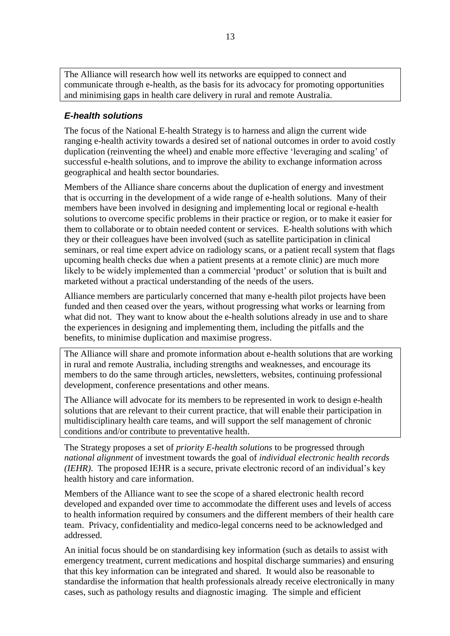The Alliance will research how well its networks are equipped to connect and communicate through e-health, as the basis for its advocacy for promoting opportunities and minimising gaps in health care delivery in rural and remote Australia.

### <span id="page-12-0"></span>*E-health solutions*

The focus of the National E-health Strategy is to harness and align the current wide ranging e-health activity towards a desired set of national outcomes in order to avoid costly duplication (reinventing the wheel) and enable more effective "leveraging and scaling" of successful e-health solutions, and to improve the ability to exchange information across geographical and health sector boundaries.

Members of the Alliance share concerns about the duplication of energy and investment that is occurring in the development of a wide range of e-health solutions. Many of their members have been involved in designing and implementing local or regional e-health solutions to overcome specific problems in their practice or region, or to make it easier for them to collaborate or to obtain needed content or services. E-health solutions with which they or their colleagues have been involved (such as satellite participation in clinical seminars, or real time expert advice on radiology scans, or a patient recall system that flags upcoming health checks due when a patient presents at a remote clinic) are much more likely to be widely implemented than a commercial 'product' or solution that is built and marketed without a practical understanding of the needs of the users.

Alliance members are particularly concerned that many e-health pilot projects have been funded and then ceased over the years, without progressing what works or learning from what did not. They want to know about the e-health solutions already in use and to share the experiences in designing and implementing them, including the pitfalls and the benefits, to minimise duplication and maximise progress.

The Alliance will share and promote information about e-health solutions that are working in rural and remote Australia, including strengths and weaknesses, and encourage its members to do the same through articles, newsletters, websites, continuing professional development, conference presentations and other means.

The Alliance will advocate for its members to be represented in work to design e-health solutions that are relevant to their current practice, that will enable their participation in multidisciplinary health care teams, and will support the self management of chronic conditions and/or contribute to preventative health.

The Strategy proposes a set of *priority E-health solutions* to be progressed through *national alignment* of investment towards the goal of *individual electronic health records (IEHR)*. The proposed IEHR is a secure, private electronic record of an individual"s key health history and care information.

Members of the Alliance want to see the scope of a shared electronic health record developed and expanded over time to accommodate the different uses and levels of access to health information required by consumers and the different members of their health care team. Privacy, confidentiality and medico-legal concerns need to be acknowledged and addressed.

An initial focus should be on standardising key information (such as details to assist with emergency treatment, current medications and hospital discharge summaries) and ensuring that this key information can be integrated and shared. It would also be reasonable to standardise the information that health professionals already receive electronically in many cases, such as pathology results and diagnostic imaging. The simple and efficient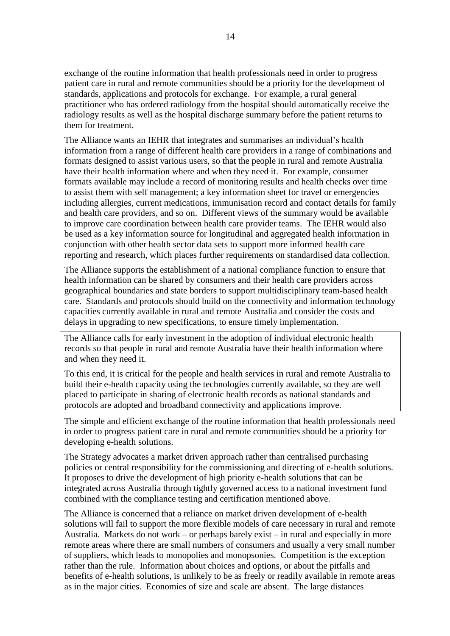exchange of the routine information that health professionals need in order to progress patient care in rural and remote communities should be a priority for the development of standards, applications and protocols for exchange. For example, a rural general practitioner who has ordered radiology from the hospital should automatically receive the radiology results as well as the hospital discharge summary before the patient returns to them for treatment.

The Alliance wants an IEHR that integrates and summarises an individual"s health information from a range of different health care providers in a range of combinations and formats designed to assist various users, so that the people in rural and remote Australia have their health information where and when they need it. For example, consumer formats available may include a record of monitoring results and health checks over time to assist them with self management; a key information sheet for travel or emergencies including allergies, current medications, immunisation record and contact details for family and health care providers, and so on. Different views of the summary would be available to improve care coordination between health care provider teams. The IEHR would also be used as a key information source for longitudinal and aggregated health information in conjunction with other health sector data sets to support more informed health care reporting and research, which places further requirements on standardised data collection.

The Alliance supports the establishment of a national compliance function to ensure that health information can be shared by consumers and their health care providers across geographical boundaries and state borders to support multidisciplinary team-based health care. Standards and protocols should build on the connectivity and information technology capacities currently available in rural and remote Australia and consider the costs and delays in upgrading to new specifications, to ensure timely implementation.

The Alliance calls for early investment in the adoption of individual electronic health records so that people in rural and remote Australia have their health information where and when they need it.

To this end, it is critical for the people and health services in rural and remote Australia to build their e-health capacity using the technologies currently available, so they are well placed to participate in sharing of electronic health records as national standards and protocols are adopted and broadband connectivity and applications improve.

The simple and efficient exchange of the routine information that health professionals need in order to progress patient care in rural and remote communities should be a priority for developing e-health solutions.

The Strategy advocates a market driven approach rather than centralised purchasing policies or central responsibility for the commissioning and directing of e-health solutions. It proposes to drive the development of high priority e-health solutions that can be integrated across Australia through tightly governed access to a national investment fund combined with the compliance testing and certification mentioned above.

The Alliance is concerned that a reliance on market driven development of e-health solutions will fail to support the more flexible models of care necessary in rural and remote Australia. Markets do not work – or perhaps barely exist – in rural and especially in more remote areas where there are small numbers of consumers and usually a very small number of suppliers, which leads to monopolies and monopsonies. Competition is the exception rather than the rule. Information about choices and options, or about the pitfalls and benefits of e-health solutions, is unlikely to be as freely or readily available in remote areas as in the major cities. Economies of size and scale are absent. The large distances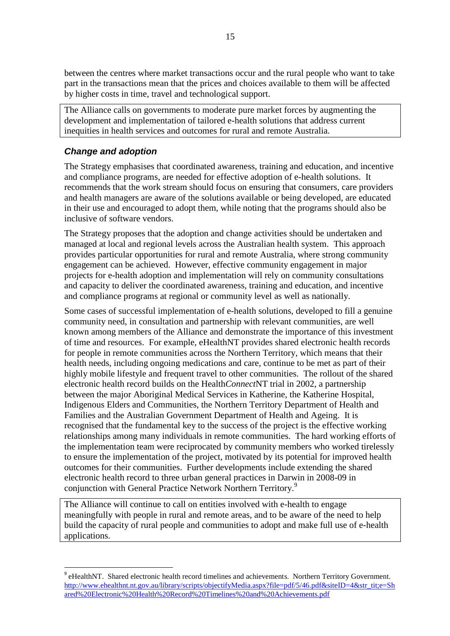between the centres where market transactions occur and the rural people who want to take part in the transactions mean that the prices and choices available to them will be affected by higher costs in time, travel and technological support.

The Alliance calls on governments to moderate pure market forces by augmenting the development and implementation of tailored e-health solutions that address current inequities in health services and outcomes for rural and remote Australia.

### <span id="page-14-0"></span>*Change and adoption*

<u>.</u>

The Strategy emphasises that coordinated awareness, training and education, and incentive and compliance programs, are needed for effective adoption of e-health solutions. It recommends that the work stream should focus on ensuring that consumers, care providers and health managers are aware of the solutions available or being developed, are educated in their use and encouraged to adopt them, while noting that the programs should also be inclusive of software vendors.

The Strategy proposes that the adoption and change activities should be undertaken and managed at local and regional levels across the Australian health system. This approach provides particular opportunities for rural and remote Australia, where strong community engagement can be achieved. However, effective community engagement in major projects for e-health adoption and implementation will rely on community consultations and capacity to deliver the coordinated awareness, training and education, and incentive and compliance programs at regional or community level as well as nationally.

Some cases of successful implementation of e-health solutions, developed to fill a genuine community need, in consultation and partnership with relevant communities, are well known among members of the Alliance and demonstrate the importance of this investment of time and resources. For example, eHealthNT provides shared electronic health records for people in remote communities across the Northern Territory, which means that their health needs, including ongoing medications and care, continue to be met as part of their highly mobile lifestyle and frequent travel to other communities. The rollout of the shared electronic health record builds on the Health*Connect*NT trial in 2002, a partnership between the major Aboriginal Medical Services in Katherine, the Katherine Hospital, Indigenous Elders and Communities, the Northern Territory Department of Health and Families and the Australian Government Department of Health and Ageing. It is recognised that the fundamental key to the success of the project is the effective working relationships among many individuals in remote communities. The hard working efforts of the implementation team were reciprocated by community members who worked tirelessly to ensure the implementation of the project, motivated by its potential for improved health outcomes for their communities. Further developments include extending the shared electronic health record to three urban general practices in Darwin in 2008-09 in conjunction with General Practice Network Northern Territory.<sup>9</sup>

The Alliance will continue to call on entities involved with e-health to engage meaningfully with people in rural and remote areas, and to be aware of the need to help build the capacity of rural people and communities to adopt and make full use of e-health applications.

<sup>&</sup>lt;sup>9</sup> eHealthNT. Shared electronic health record timelines and achievements. Northern Territory Government. [http://www.ehealthnt.nt.gov.au/library/scripts/objectifyMedia.aspx?file=pdf/5/46.pdf&siteID=4&str\\_tit;e=Sh](http://www.ehealthnt.nt.gov.au/library/scripts/objectifyMedia.aspx?file=pdf/5/46.pdf&siteID=4&str_tit;e=Shared%20Electronic%20Health%20Record%20Timelines%20and%20Achievements.pdf) [ared%20Electronic%20Health%20Record%20Timelines%20and%20Achievements.pdf](http://www.ehealthnt.nt.gov.au/library/scripts/objectifyMedia.aspx?file=pdf/5/46.pdf&siteID=4&str_tit;e=Shared%20Electronic%20Health%20Record%20Timelines%20and%20Achievements.pdf)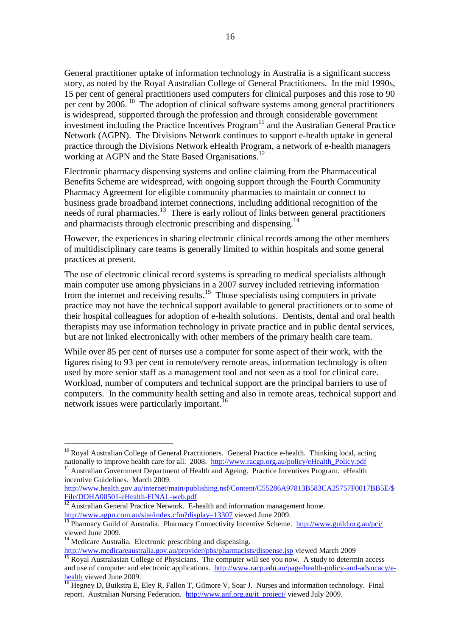General practitioner uptake of information technology in Australia is a significant success story, as noted by the Royal Australian College of General Practitioners. In the mid 1990s, 15 per cent of general practitioners used computers for clinical purposes and this rose to 90 per cent by 2006.<sup>10</sup> The adoption of clinical software systems among general practitioners is widespread, supported through the profession and through considerable government investment including the Practice Incentives Program<sup>11</sup> and the Australian General Practice Network (AGPN). The Divisions Network continues to support e-health uptake in general practice through the Divisions Network eHealth Program, a network of e-health managers working at AGPN and the State Based Organisations.<sup>12</sup>

Electronic pharmacy dispensing systems and online claiming from the Pharmaceutical Benefits Scheme are widespread, with ongoing support through the Fourth Community Pharmacy Agreement for eligible community pharmacies to maintain or connect to business grade broadband internet connections, including additional recognition of the needs of rural pharmacies.<sup>13</sup> There is early rollout of links between general practitioners and pharmacists through electronic prescribing and dispensing.<sup>14</sup>

However, the experiences in sharing electronic clinical records among the other members of multidisciplinary care teams is generally limited to within hospitals and some general practices at present.

The use of electronic clinical record systems is spreading to medical specialists although main computer use among physicians in a 2007 survey included retrieving information from the internet and receiving results.<sup>15</sup> Those specialists using computers in private practice may not have the technical support available to general practitioners or to some of their hospital colleagues for adoption of e-health solutions. Dentists, dental and oral health therapists may use information technology in private practice and in public dental services, but are not linked electronically with other members of the primary health care team.

While over 85 per cent of nurses use a computer for some aspect of their work, with the figures rising to 93 per cent in remote/very remote areas, information technology is often used by more senior staff as a management tool and not seen as a tool for clinical care. Workload, number of computers and technical support are the principal barriers to use of computers. In the community health setting and also in remote areas, technical support and network issues were particularly important. 16

<u>.</u>

<http://www.medicareaustralia.gov.au/provider/pbs/pharmacists/dispense.jsp> viewed March 2009

<sup>&</sup>lt;sup>10</sup> Royal Australian College of General Practitioners. General Practice e-health. Thinking local, acting nationally to improve health care for all. 2008. [http://www.racgp.org.au/policy/eHealth\\_Policy.pdf](http://www.racgp.org.au/policy/eHealth_Policy.pdf)

<sup>&</sup>lt;sup>11</sup> Australian Government Department of Health and Ageing. Practice Incentives Program. eHealth incentive Guidelines. March 2009.

[http://www.health.gov.au/internet/main/publishing.nsf/Content/C55286A97813B583CA25757F0017BB5E/\\$](http://www.health.gov.au/internet/main/publishing.nsf/Content/C55286A97813B583CA25757F0017BB5E/$File/DOHA00501-eHealth-FINAL-web.pdf) [File/DOHA00501-eHealth-FINAL-web.pdf](http://www.health.gov.au/internet/main/publishing.nsf/Content/C55286A97813B583CA25757F0017BB5E/$File/DOHA00501-eHealth-FINAL-web.pdf)

 $12$  Australian General Practice Network. E-health and information management home. <http://www.agpn.com.au/site/index.cfm?display=13307> viewed June 2009.

<sup>&</sup>lt;sup>13</sup> Pharmacy Guild of Australia. Pharmacy Connectivity Incentive Scheme. <http://www.guild.org.au/pci/> viewed June 2009.

<sup>&</sup>lt;sup>14</sup> Medicare Australia. Electronic prescribing and dispensing.

<sup>&</sup>lt;sup>15</sup> Royal Australasian College of Physicians. The computer will see you now. A study to determin access and use of computer and electronic applications. [http://www.racp.edu.au/page/health-policy-and-advocacy/e](http://www.racp.edu.au/page/health-policy-and-advocacy/e-health)[health](http://www.racp.edu.au/page/health-policy-and-advocacy/e-health) viewed June 2009.

<sup>&</sup>lt;sup>16</sup> Hegney D, Buikstra E, Eley R, Fallon T, Gilmore V, Soar J. Nurses and information technology. Final report. Australian Nursing Federation. [http://www.anf.org.au/it\\_project/](http://www.anf.org.au/it_project/) viewed July 2009.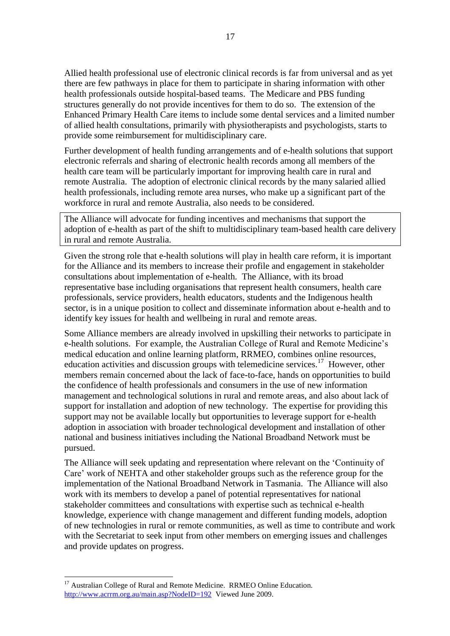Allied health professional use of electronic clinical records is far from universal and as yet there are few pathways in place for them to participate in sharing information with other health professionals outside hospital-based teams. The Medicare and PBS funding structures generally do not provide incentives for them to do so. The extension of the Enhanced Primary Health Care items to include some dental services and a limited number of allied health consultations, primarily with physiotherapists and psychologists, starts to provide some reimbursement for multidisciplinary care.

Further development of health funding arrangements and of e-health solutions that support electronic referrals and sharing of electronic health records among all members of the health care team will be particularly important for improving health care in rural and remote Australia. The adoption of electronic clinical records by the many salaried allied health professionals, including remote area nurses, who make up a significant part of the workforce in rural and remote Australia, also needs to be considered.

The Alliance will advocate for funding incentives and mechanisms that support the adoption of e-health as part of the shift to multidisciplinary team-based health care delivery in rural and remote Australia.

Given the strong role that e-health solutions will play in health care reform, it is important for the Alliance and its members to increase their profile and engagement in stakeholder consultations about implementation of e-health. The Alliance, with its broad representative base including organisations that represent health consumers, health care professionals, service providers, health educators, students and the Indigenous health sector, is in a unique position to collect and disseminate information about e-health and to identify key issues for health and wellbeing in rural and remote areas.

Some Alliance members are already involved in upskilling their networks to participate in e-health solutions. For example, the Australian College of Rural and Remote Medicine"s medical education and online learning platform, RRMEO, combines online resources, education activities and discussion groups with telemedicine services.<sup>17</sup> However, other members remain concerned about the lack of face-to-face, hands on opportunities to build the confidence of health professionals and consumers in the use of new information management and technological solutions in rural and remote areas, and also about lack of support for installation and adoption of new technology. The expertise for providing this support may not be available locally but opportunities to leverage support for e-health adoption in association with broader technological development and installation of other national and business initiatives including the National Broadband Network must be pursued.

The Alliance will seek updating and representation where relevant on the "Continuity of Care" work of NEHTA and other stakeholder groups such as the reference group for the implementation of the National Broadband Network in Tasmania. The Alliance will also work with its members to develop a panel of potential representatives for national stakeholder committees and consultations with expertise such as technical e-health knowledge, experience with change management and different funding models, adoption of new technologies in rural or remote communities, as well as time to contribute and work with the Secretariat to seek input from other members on emerging issues and challenges and provide updates on progress.

1

<sup>&</sup>lt;sup>17</sup> Australian College of Rural and Remote Medicine. RRMEO Online Education. <http://www.acrrm.org.au/main.asp?NodeID=192>Viewed June 2009.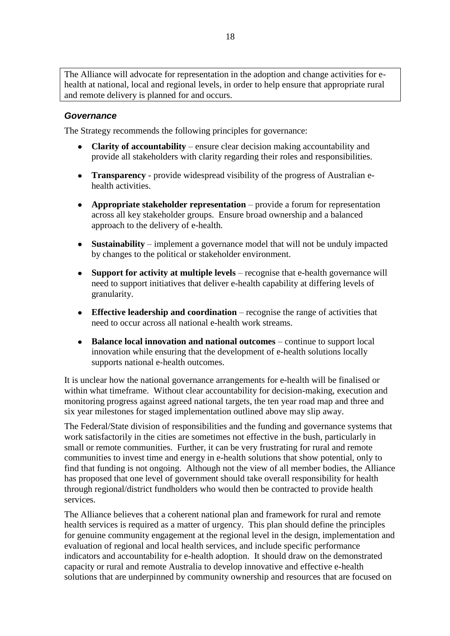The Alliance will advocate for representation in the adoption and change activities for ehealth at national, local and regional levels, in order to help ensure that appropriate rural and remote delivery is planned for and occurs.

#### <span id="page-17-0"></span>*Governance*

The Strategy recommends the following principles for governance:

- **Clarity of accountability** ensure clear decision making accountability and provide all stakeholders with clarity regarding their roles and responsibilities.
- **Transparency**  provide widespread visibility of the progress of Australian ehealth activities.
- **Appropriate stakeholder representation** provide a forum for representation across all key stakeholder groups. Ensure broad ownership and a balanced approach to the delivery of e-health.
- **Sustainability** implement a governance model that will not be unduly impacted by changes to the political or stakeholder environment.
- **Support for activity at multiple levels** recognise that e-health governance will need to support initiatives that deliver e-health capability at differing levels of granularity.
- **Effective leadership and coordination** recognise the range of activities that need to occur across all national e-health work streams.
- **Balance local innovation and national outcomes** continue to support local innovation while ensuring that the development of e-health solutions locally supports national e-health outcomes.

It is unclear how the national governance arrangements for e-health will be finalised or within what timeframe. Without clear accountability for decision-making, execution and monitoring progress against agreed national targets, the ten year road map and three and six year milestones for staged implementation outlined above may slip away.

The Federal/State division of responsibilities and the funding and governance systems that work satisfactorily in the cities are sometimes not effective in the bush, particularly in small or remote communities. Further, it can be very frustrating for rural and remote communities to invest time and energy in e-health solutions that show potential, only to find that funding is not ongoing. Although not the view of all member bodies, the Alliance has proposed that one level of government should take overall responsibility for health through regional/district fundholders who would then be contracted to provide health services.

The Alliance believes that a coherent national plan and framework for rural and remote health services is required as a matter of urgency. This plan should define the principles for genuine community engagement at the regional level in the design, implementation and evaluation of regional and local health services, and include specific performance indicators and accountability for e-health adoption. It should draw on the demonstrated capacity or rural and remote Australia to develop innovative and effective e-health solutions that are underpinned by community ownership and resources that are focused on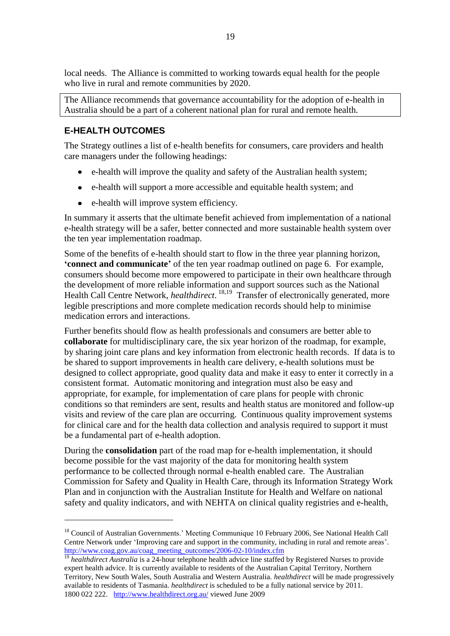local needs. The Alliance is committed to working towards equal health for the people who live in rural and remote communities by 2020.

The Alliance recommends that governance accountability for the adoption of e-health in Australia should be a part of a coherent national plan for rural and remote health.

## <span id="page-18-0"></span>**E-HEALTH OUTCOMES**

1

The Strategy outlines a list of e-health benefits for consumers, care providers and health care managers under the following headings:

- e-health will improve the quality and safety of the Australian health system;
- e-health will support a more accessible and equitable health system; and
- e-health will improve system efficiency.

In summary it asserts that the ultimate benefit achieved from implementation of a national e-health strategy will be a safer, better connected and more sustainable health system over the ten year implementation roadmap.

Some of the benefits of e-health should start to flow in the three year planning horizon, **'connect and communicate'** of the ten year roadmap outlined on page 6. For example, consumers should become more empowered to participate in their own healthcare through the development of more reliable information and support sources such as the National Health Call Centre Network, *healthdirect*.<sup>18,19</sup> Transfer of electronically generated, more legible prescriptions and more complete medication records should help to minimise medication errors and interactions.

Further benefits should flow as health professionals and consumers are better able to **collaborate** for multidisciplinary care, the six year horizon of the roadmap, for example, by sharing joint care plans and key information from electronic health records. If data is to be shared to support improvements in health care delivery, e-health solutions must be designed to collect appropriate, good quality data and make it easy to enter it correctly in a consistent format. Automatic monitoring and integration must also be easy and appropriate, for example, for implementation of care plans for people with chronic conditions so that reminders are sent, results and health status are monitored and follow-up visits and review of the care plan are occurring. Continuous quality improvement systems for clinical care and for the health data collection and analysis required to support it must be a fundamental part of e-health adoption.

During the **consolidation** part of the road map for e-health implementation, it should become possible for the vast majority of the data for monitoring health system performance to be collected through normal e-health enabled care. The Australian Commission for Safety and Quality in Health Care, through its Information Strategy Work Plan and in conjunction with the Australian Institute for Health and Welfare on national safety and quality indicators, and with NEHTA on clinical quality registries and e-health,

<sup>&</sup>lt;sup>18</sup> Council of Australian Governments.' Meeting Communique 10 February 2006, See National Health Call Centre Network under "Improving care and support in the community, including in rural and remote areas". [http://www.coag.gov.au/coag\\_meeting\\_outcomes/2006-02-10/index.cfm](http://www.coag.gov.au/coag_meeting_outcomes/2006-02-10/index.cfm)

<sup>&</sup>lt;sup>19</sup> *healthdirect Australia* is a 24-hour telephone health advice line staffed by Registered Nurses to provide expert health advice. It is currently available to residents of the Australian Capital Territory, Northern Territory, New South Wales, South Australia and Western Australia. *healthdirect* will be made progressively available to residents of Tasmania. *healthdirect* is scheduled to be a fully national service by 2011. 1800 022 222. <http://www.healthdirect.org.au/> viewed June 2009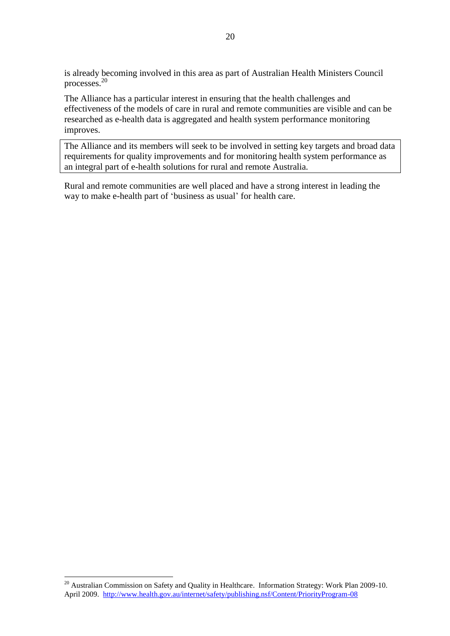is already becoming involved in this area as part of Australian Health Ministers Council processes.<sup>20</sup>

The Alliance has a particular interest in ensuring that the health challenges and effectiveness of the models of care in rural and remote communities are visible and can be researched as e-health data is aggregated and health system performance monitoring improves.

The Alliance and its members will seek to be involved in setting key targets and broad data requirements for quality improvements and for monitoring health system performance as an integral part of e-health solutions for rural and remote Australia.

Rural and remote communities are well placed and have a strong interest in leading the way to make e-health part of "business as usual" for health care.

1

 $20$  Australian Commission on Safety and Quality in Healthcare. Information Strategy: Work Plan 2009-10. April 2009. <http://www.health.gov.au/internet/safety/publishing.nsf/Content/PriorityProgram-08>